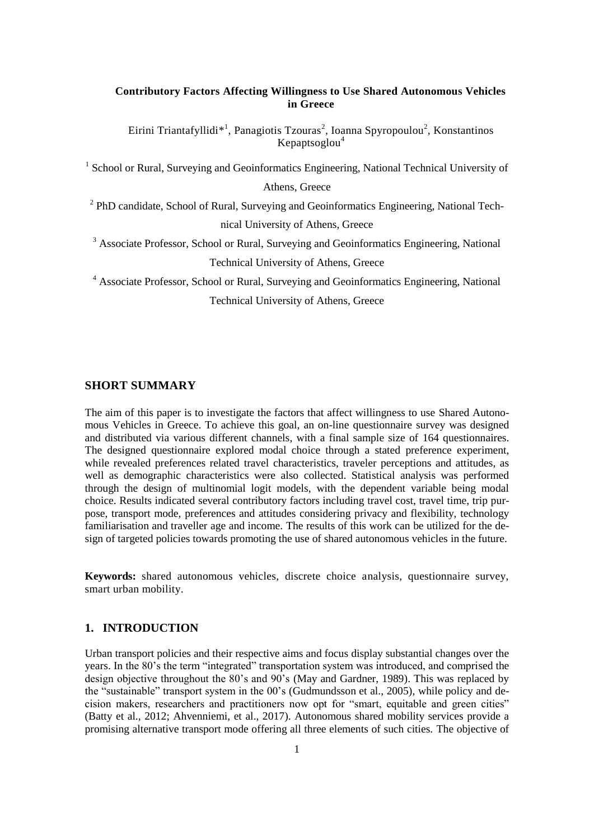## **Contributory Factors Affecting Willingness to Use Shared Autonomous Vehicles in Greece**

Eirini Triantafyllidi<sup>\*1</sup>, Panagiotis Tzouras<sup>2</sup>, Ioanna Spyropoulou<sup>2</sup>, Konstantinos Kepaptsoglou $4$ 

<sup>1</sup> School or Rural, Surveying and Geoinformatics Engineering, National Technical University of Athens, Greece

<sup>2</sup> PhD candidate, School of Rural, Surveying and Geoinformatics Engineering, National Technical University of Athens, Greece

<sup>3</sup> Associate Professor, School or Rural, Surveying and Geoinformatics Engineering, National Technical University of Athens, Greece

<sup>4</sup> Associate Professor, School or Rural, Surveying and Geoinformatics Engineering, National

Technical University of Athens, Greece

## **SHORT SUMMARY**

The aim of this paper is to investigate the factors that affect willingness to use Shared Autonomous Vehicles in Greece. To achieve this goal, an on-line questionnaire survey was designed and distributed via various different channels, with a final sample size of 164 questionnaires. The designed questionnaire explored modal choice through a stated preference experiment, while revealed preferences related travel characteristics, traveler perceptions and attitudes, as well as demographic characteristics were also collected. Statistical analysis was performed through the design of multinomial logit models, with the dependent variable being modal choice. Results indicated several contributory factors including travel cost, travel time, trip purpose, transport mode, preferences and attitudes considering privacy and flexibility, technology familiarisation and traveller age and income. The results of this work can be utilized for the design of targeted policies towards promoting the use of shared autonomous vehicles in the future.

**Keywords:** shared autonomous vehicles, discrete choice analysis, questionnaire survey, smart urban mobility.

# **1. INTRODUCTION**

Urban transport policies and their respective aims and focus display substantial changes over the years. In the 80's the term "integrated" transportation system was introduced, and comprised the design objective throughout the 80's and 90's (May and Gardner, 1989). This was replaced by the "sustainable" transport system in the 00's (Gudmundsson et al., 2005), while policy and decision makers, researchers and practitioners now opt for "smart, equitable and green cities" (Batty et al., 2012; Ahvenniemi, et al., 2017). Autonomous shared mobility services provide a promising alternative transport mode offering all three elements of such cities. The objective of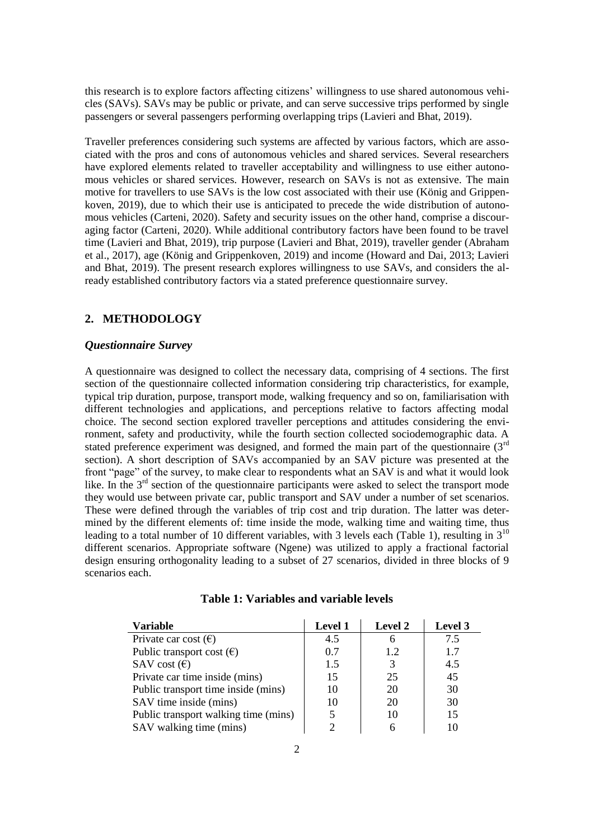this research is to explore factors affecting citizens' willingness to use shared autonomous vehicles (SAVs). SAVs may be public or private, and can serve successive trips performed by single passengers or several passengers performing overlapping trips (Lavieri and Bhat, 2019).

Traveller preferences considering such systems are affected by various factors, which are associated with the pros and cons of autonomous vehicles and shared services. Several researchers have explored elements related to traveller acceptability and willingness to use either autonomous vehicles or shared services. However, research on SAVs is not as extensive. The main motive for travellers to use SAVs is the low cost associated with their use (König and Grippenkoven, 2019), due to which their use is anticipated to precede the wide distribution of autonomous vehicles (Carteni, 2020). Safety and security issues on the other hand, comprise a discouraging factor (Carteni, 2020). While additional contributory factors have been found to be travel time (Lavieri and Bhat, 2019), trip purpose (Lavieri and Bhat, 2019), traveller gender (Abraham et al., 2017), age (König and Grippenkoven, 2019) and income (Howard and Dai, 2013; Lavieri and Bhat, 2019). The present research explores willingness to use SAVs, and considers the already established contributory factors via a stated preference questionnaire survey.

# **2. METHODOLOGY**

## *Questionnaire Survey*

A questionnaire was designed to collect the necessary data, comprising of 4 sections. The first section of the questionnaire collected information considering trip characteristics, for example, typical trip duration, purpose, transport mode, walking frequency and so on, familiarisation with different technologies and applications, and perceptions relative to factors affecting modal choice. The second section explored traveller perceptions and attitudes considering the environment, safety and productivity, while the fourth section collected sociodemographic data. A stated preference experiment was designed, and formed the main part of the questionnaire (3<sup>rd</sup>) section). A short description of SAVs accompanied by an SAV picture was presented at the front "page" of the survey, to make clear to respondents what an SAV is and what it would look like. In the 3<sup>rd</sup> section of the questionnaire participants were asked to select the transport mode they would use between private car, public transport and SAV under a number of set scenarios. These were defined through the variables of trip cost and trip duration. The latter was determined by the different elements of: time inside the mode, walking time and waiting time, thus leading to a total number of 10 different variables, with 3 levels each (Table 1), resulting in  $3^{10}$ different scenarios. Appropriate software (Ngene) was utilized to apply a fractional factorial design ensuring orthogonality leading to a subset of 27 scenarios, divided in three blocks of 9 scenarios each.

| <b>Variable</b>                      | <b>Level 1</b> | Level 2 | Level 3 |
|--------------------------------------|----------------|---------|---------|
| Private car cost $(\epsilon)$        | 4.5            | h       | 7.5     |
| Public transport cost $(\epsilon)$   | 0.7            | 12      | 1.7     |
| SAV cost $(\epsilon)$                | 1.5            | 3       | 4.5     |
| Private car time inside (mins)       | 15             | 25      | 45      |
| Public transport time inside (mins)  | 10             | 20      | 30      |
| SAV time inside (mins)               | 10             | 20      | 30      |
| Public transport walking time (mins) |                | 10      | 15      |
| SAV walking time (mins)              |                |         |         |

| Table 1: Variables and variable levels |  |  |  |  |  |
|----------------------------------------|--|--|--|--|--|
|----------------------------------------|--|--|--|--|--|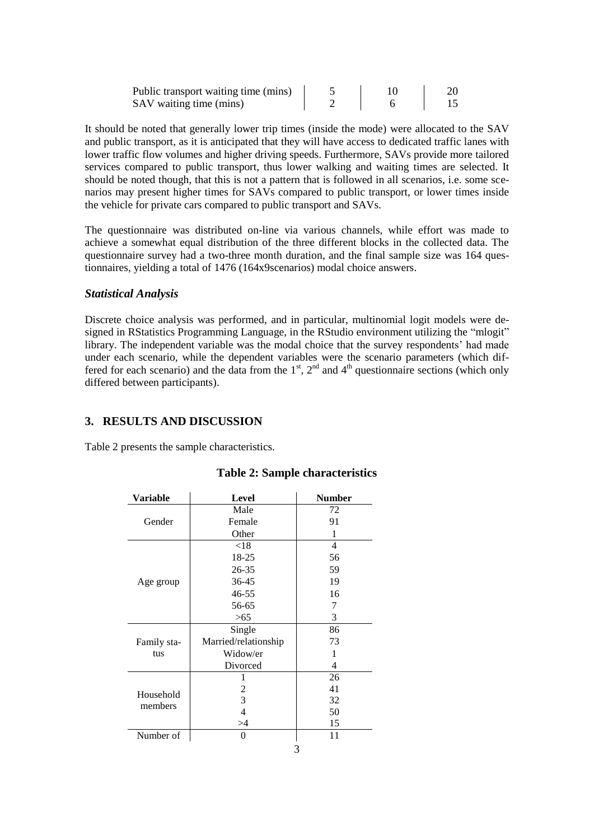| Public transport waiting time (mins) |  |  |
|--------------------------------------|--|--|
| SAV waiting time (mins)              |  |  |

It should be noted that generally lower trip times (inside the mode) were allocated to the SAV and public transport, as it is anticipated that they will have access to dedicated traffic lanes with lower traffic flow volumes and higher driving speeds. Furthermore, SAVs provide more tailored services compared to public transport, thus lower walking and waiting times are selected. It should be noted though, that this is not a pattern that is followed in all scenarios, i.e. some scenarios may present higher times for SAVs compared to public transport, or lower times inside the vehicle for private cars compared to public transport and SAVs.

The questionnaire was distributed on-line via various channels, while effort was made to achieve a somewhat equal distribution of the three different blocks in the collected data. The questionnaire survey had a two-three month duration, and the final sample size was 164 questionnaires, yielding a total of 1476 (164x9scenarios) modal choice answers.

### *Statistical Analysis*

Discrete choice analysis was performed, and in particular, multinomial logit models were designed in RStatistics Programming Language, in the RStudio environment utilizing the "mlogit" library. The independent variable was the modal choice that the survey respondents' had made under each scenario, while the dependent variables were the scenario parameters (which differed for each scenario) and the data from the  $1<sup>st</sup>$ ,  $2<sup>nd</sup>$  and  $4<sup>th</sup>$  questionnaire sections (which only differed between participants).

# **3. RESULTS AND DISCUSSION**

Table 2 presents the sample characteristics.

| Variable    | <b>Level</b>         | <b>Number</b>  |
|-------------|----------------------|----------------|
|             | Male                 | 72             |
| Gender      | Female               | 91             |
|             | Other                | 1              |
|             | < 18                 | $\overline{4}$ |
|             | 18-25                | 56             |
|             | $26 - 35$            | 59             |
| Age group   | 36-45                | 19             |
|             | 46-55                | 16             |
|             | 56-65                | 7              |
|             | >65                  | 3              |
|             | Single               | 86             |
| Family sta- | Married/relationship | 73             |
| tus         | Widow/er             | 1              |
|             | Divorced             | 4              |
|             | 1                    | 26             |
| Household   | 2                    | 41             |
| members     | 3                    | 32             |
|             | 4                    | 50             |
|             | >4                   | 15             |
| Number of   | 0                    | 11             |
|             |                      |                |

### **Table 2: Sample characteristics**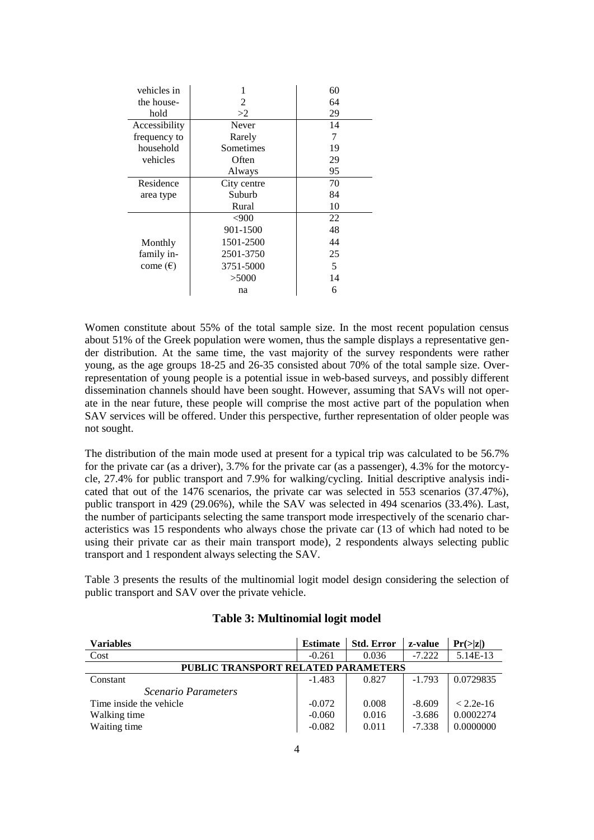| vehicles in       |             | 60 |
|-------------------|-------------|----|
| the house-        | 2           | 64 |
| hold              | >2          | 29 |
| Accessibility     | Never       | 14 |
| frequency to      | Rarely      | 7  |
| household         | Sometimes   | 19 |
| vehicles          | Often       | 29 |
|                   | Always      | 95 |
| Residence         | City centre | 70 |
| area type         | Suburb      | 84 |
|                   | Rural       | 10 |
|                   | <,900       | 22 |
|                   | 901-1500    | 48 |
| Monthly           | 1501-2500   | 44 |
| family in-        | 2501-3750   | 25 |
| come $(\epsilon)$ | 3751-5000   | 5  |
|                   | >5000       | 14 |
|                   | na          | 6  |

Women constitute about 55% of the total sample size. In the most recent population census about 51% of the Greek population were women, thus the sample displays a representative gender distribution. At the same time, the vast majority of the survey respondents were rather young, as the age groups 18-25 and 26-35 consisted about 70% of the total sample size. Overrepresentation of young people is a potential issue in web-based surveys, and possibly different dissemination channels should have been sought. However, assuming that SAVs will not operate in the near future, these people will comprise the most active part of the population when SAV services will be offered. Under this perspective, further representation of older people was not sought.

The distribution of the main mode used at present for a typical trip was calculated to be 56.7% for the private car (as a driver), 3.7% for the private car (as a passenger), 4.3% for the motorcycle, 27.4% for public transport and 7.9% for walking/cycling. Initial descriptive analysis indicated that out of the 1476 scenarios, the private car was selected in 553 scenarios (37.47%), public transport in 429 (29.06%), while the SAV was selected in 494 scenarios (33.4%). Last, the number of participants selecting the same transport mode irrespectively of the scenario characteristics was 15 respondents who always chose the private car (13 of which had noted to be using their private car as their main transport mode), 2 respondents always selecting public transport and 1 respondent always selecting the SAV.

Table 3 presents the results of the multinomial logit model design considering the selection of public transport and SAV over the private vehicle.

| <b>Variables</b>                           | <b>Estimate</b> | <b>Std. Error</b> | z-value  | $Pr(\geq  z )$ |
|--------------------------------------------|-----------------|-------------------|----------|----------------|
| Cost                                       | $-0.261$        | 0.036             | $-7.222$ | 5.14E-13       |
| <b>PUBLIC TRANSPORT RELATED PARAMETERS</b> |                 |                   |          |                |
| Constant                                   | $-1.483$        | 0.827             | $-1.793$ | 0.0729835      |
| <i>Scenario Parameters</i>                 |                 |                   |          |                |
| Time inside the vehicle                    | $-0.072$        | 0.008             | $-8.609$ | $< 2.2e-16$    |
| Walking time                               | $-0.060$        | 0.016             | $-3.686$ | 0.0002274      |
| Waiting time                               | $-0.082$        | 0.011             | $-7.338$ | 0.0000000      |

### **Table 3: Multinomial logit model**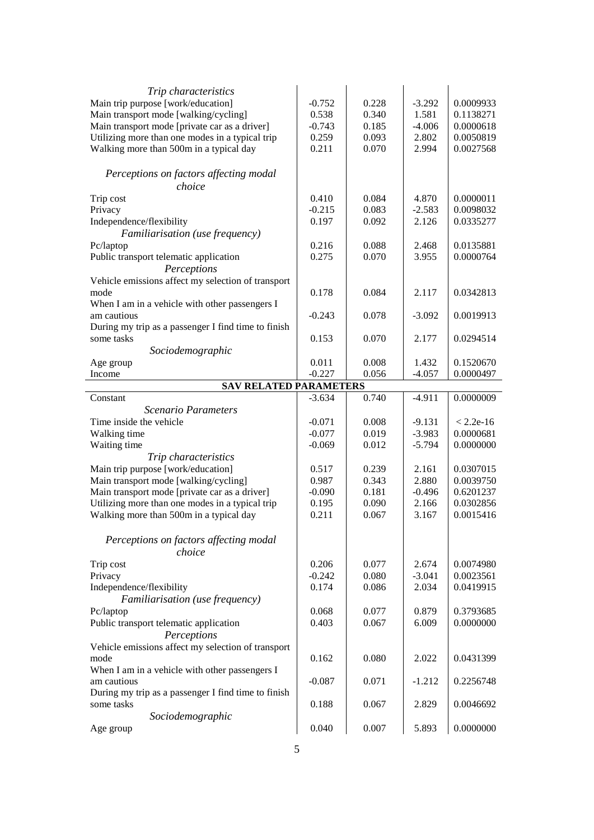| Trip characteristics                                |          |       |          |             |
|-----------------------------------------------------|----------|-------|----------|-------------|
| Main trip purpose [work/education]                  | $-0.752$ | 0.228 | $-3.292$ | 0.0009933   |
| Main transport mode [walking/cycling]               | 0.538    | 0.340 | 1.581    | 0.1138271   |
| Main transport mode [private car as a driver]       | $-0.743$ | 0.185 | $-4.006$ | 0.0000618   |
| Utilizing more than one modes in a typical trip     | 0.259    | 0.093 | 2.802    | 0.0050819   |
| Walking more than 500m in a typical day             | 0.211    | 0.070 | 2.994    | 0.0027568   |
|                                                     |          |       |          |             |
| Perceptions on factors affecting modal              |          |       |          |             |
| choice                                              |          |       |          |             |
| Trip cost                                           | 0.410    | 0.084 | 4.870    | 0.0000011   |
| Privacy                                             | $-0.215$ | 0.083 | $-2.583$ | 0.0098032   |
| Independence/flexibility                            | 0.197    | 0.092 | 2.126    | 0.0335277   |
| Familiarisation (use frequency)                     |          |       |          |             |
| Pc/laptop                                           | 0.216    | 0.088 | 2.468    | 0.0135881   |
| Public transport telematic application              | 0.275    | 0.070 | 3.955    | 0.0000764   |
| Perceptions                                         |          |       |          |             |
| Vehicle emissions affect my selection of transport  |          |       |          |             |
| mode                                                | 0.178    | 0.084 | 2.117    | 0.0342813   |
| When I am in a vehicle with other passengers I      |          |       |          |             |
| am cautious                                         | $-0.243$ | 0.078 | $-3.092$ | 0.0019913   |
| During my trip as a passenger I find time to finish |          |       |          |             |
| some tasks                                          | 0.153    | 0.070 | 2.177    | 0.0294514   |
| Sociodemographic                                    |          |       |          |             |
| Age group                                           | 0.011    | 0.008 | 1.432    | 0.1520670   |
| Income                                              | $-0.227$ | 0.056 | $-4.057$ | 0.0000497   |
| <b>SAV RELATED PARAMETERS</b>                       |          |       |          |             |
| Constant                                            | $-3.634$ | 0.740 | $-4.911$ | 0.0000009   |
|                                                     |          |       |          |             |
|                                                     |          |       |          |             |
| Scenario Parameters                                 |          |       |          |             |
| Time inside the vehicle                             | $-0.071$ | 0.008 | $-9.131$ | $< 2.2e-16$ |
| Walking time                                        | $-0.077$ | 0.019 | $-3.983$ | 0.0000681   |
| Waiting time                                        | $-0.069$ | 0.012 | $-5.794$ | 0.0000000   |
| Trip characteristics                                |          |       |          |             |
| Main trip purpose [work/education]                  | 0.517    | 0.239 | 2.161    | 0.0307015   |
| Main transport mode [walking/cycling]               | 0.987    | 0.343 | 2.880    | 0.0039750   |
| Main transport mode [private car as a driver]       | $-0.090$ | 0.181 | $-0.496$ | 0.6201237   |
| Utilizing more than one modes in a typical trip     | 0.195    | 0.090 | 2.166    | 0.0302856   |
| Walking more than 500m in a typical day             | 0.211    | 0.067 | 3.167    | 0.0015416   |
|                                                     |          |       |          |             |
| Perceptions on factors affecting modal              |          |       |          |             |
| choice                                              |          |       |          |             |
| Trip cost                                           | 0.206    | 0.077 | 2.674    | 0.0074980   |
| Privacy                                             | $-0.242$ | 0.080 | $-3.041$ | 0.0023561   |
| Independence/flexibility                            | 0.174    | 0.086 | 2.034    | 0.0419915   |
| Familiarisation (use frequency)                     |          |       |          |             |
| Pc/laptop                                           | 0.068    | 0.077 | 0.879    | 0.3793685   |
| Public transport telematic application              | 0.403    | 0.067 | 6.009    | 0.0000000   |
| Perceptions                                         |          |       |          |             |
| Vehicle emissions affect my selection of transport  |          |       |          |             |
| mode                                                | 0.162    | 0.080 | 2.022    | 0.0431399   |
| When I am in a vehicle with other passengers I      |          |       |          |             |
| am cautious                                         | $-0.087$ | 0.071 | $-1.212$ | 0.2256748   |
| During my trip as a passenger I find time to finish |          |       |          |             |
| some tasks                                          | 0.188    | 0.067 | 2.829    | 0.0046692   |
| Sociodemographic<br>Age group                       | 0.040    | 0.007 | 5.893    | 0.0000000   |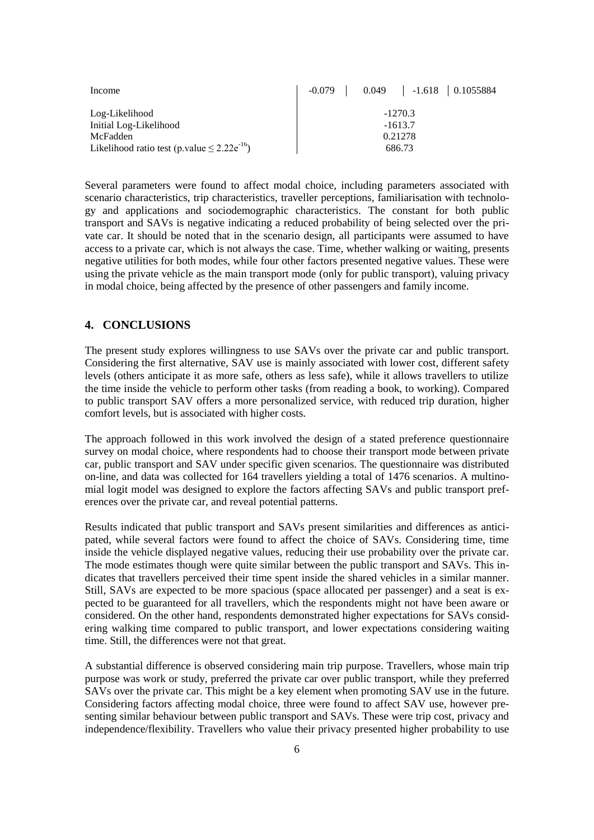| Income                                              | $-0.079$ 0.049 $-1.618$ 0.1055884 |
|-----------------------------------------------------|-----------------------------------|
| Log-Likelihood                                      | $-1270.3$                         |
| Initial Log-Likelihood                              | $-1613.7$                         |
| McFadden                                            | 0.21278                           |
| Likelihood ratio test (p.value $\leq 2.22e^{-16}$ ) | 686.73                            |

Several parameters were found to affect modal choice, including parameters associated with scenario characteristics, trip characteristics, traveller perceptions, familiarisation with technology and applications and sociodemographic characteristics. The constant for both public transport and SAVs is negative indicating a reduced probability of being selected over the private car. It should be noted that in the scenario design, all participants were assumed to have access to a private car, which is not always the case. Time, whether walking or waiting, presents negative utilities for both modes, while four other factors presented negative values. These were using the private vehicle as the main transport mode (only for public transport), valuing privacy in modal choice, being affected by the presence of other passengers and family income.

## **4. CONCLUSIONS**

The present study explores willingness to use SAVs over the private car and public transport. Considering the first alternative, SAV use is mainly associated with lower cost, different safety levels (others anticipate it as more safe, others as less safe), while it allows travellers to utilize the time inside the vehicle to perform other tasks (from reading a book, to working). Compared to public transport SAV offers a more personalized service, with reduced trip duration, higher comfort levels, but is associated with higher costs.

The approach followed in this work involved the design of a stated preference questionnaire survey on modal choice, where respondents had to choose their transport mode between private car, public transport and SAV under specific given scenarios. The questionnaire was distributed on-line, and data was collected for 164 travellers yielding a total of 1476 scenarios. A multinomial logit model was designed to explore the factors affecting SAVs and public transport preferences over the private car, and reveal potential patterns.

Results indicated that public transport and SAVs present similarities and differences as anticipated, while several factors were found to affect the choice of SAVs. Considering time, time inside the vehicle displayed negative values, reducing their use probability over the private car. The mode estimates though were quite similar between the public transport and SAVs. This indicates that travellers perceived their time spent inside the shared vehicles in a similar manner. Still, SAVs are expected to be more spacious (space allocated per passenger) and a seat is expected to be guaranteed for all travellers, which the respondents might not have been aware or considered. On the other hand, respondents demonstrated higher expectations for SAVs considering walking time compared to public transport, and lower expectations considering waiting time. Still, the differences were not that great.

A substantial difference is observed considering main trip purpose. Travellers, whose main trip purpose was work or study, preferred the private car over public transport, while they preferred SAVs over the private car. This might be a key element when promoting SAV use in the future. Considering factors affecting modal choice, three were found to affect SAV use, however presenting similar behaviour between public transport and SAVs. These were trip cost, privacy and independence/flexibility. Travellers who value their privacy presented higher probability to use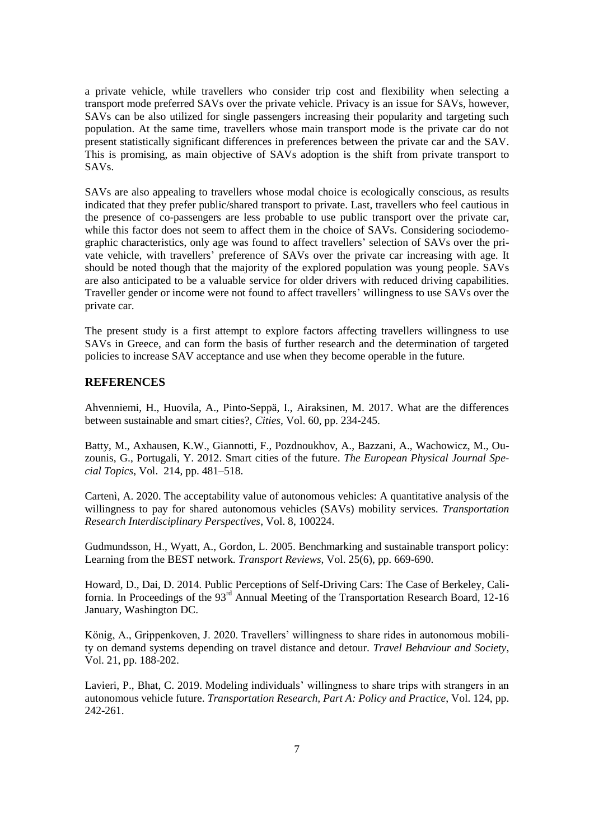a private vehicle, while travellers who consider trip cost and flexibility when selecting a transport mode preferred SAVs over the private vehicle. Privacy is an issue for SAVs, however, SAVs can be also utilized for single passengers increasing their popularity and targeting such population. At the same time, travellers whose main transport mode is the private car do not present statistically significant differences in preferences between the private car and the SAV. This is promising, as main objective of SAVs adoption is the shift from private transport to SAVs.

SAVs are also appealing to travellers whose modal choice is ecologically conscious, as results indicated that they prefer public/shared transport to private. Last, travellers who feel cautious in the presence of co-passengers are less probable to use public transport over the private car, while this factor does not seem to affect them in the choice of SAVs. Considering sociodemographic characteristics, only age was found to affect travellers' selection of SAVs over the private vehicle, with travellers' preference of SAVs over the private car increasing with age. It should be noted though that the majority of the explored population was young people. SAVs are also anticipated to be a valuable service for older drivers with reduced driving capabilities. Traveller gender or income were not found to affect travellers' willingness to use SAVs over the private car.

The present study is a first attempt to explore factors affecting travellers willingness to use SAVs in Greece, and can form the basis of further research and the determination of targeted policies to increase SAV acceptance and use when they become operable in the future.

## **REFERENCES**

Ahvenniemi, H., Huovila, A., Pinto-Seppä, I., Airaksinen, M. 2017. What are the differences between sustainable and smart cities?, *Cities*, Vol. 60, pp. 234-245.

Batty, M., Axhausen, K.W., Giannotti, F., Pozdnoukhov, A., Bazzani, A., Wachowicz, M., Ouzounis, G., Portugali, Y. 2012. Smart cities of the future. *The European Physical Journal Special Topics,* Vol. 214, pp. 481–518.

Cartenì, A. 2020. The acceptability value of autonomous vehicles: A quantitative analysis of the willingness to pay for shared autonomous vehicles (SAVs) mobility services. *Transportation Research Interdisciplinary Perspectives*, Vol. 8, 100224.

Gudmundsson, H., Wyatt, A., Gordon, L. 2005. Benchmarking and sustainable transport policy: Learning from the BEST network. *Transport Reviews*, Vol. 25(6), pp. 669-690.

Howard, D., Dai, D. 2014. Public Perceptions of Self-Driving Cars: The Case of Berkeley, California. In Proceedings of the 93<sup>rd</sup> Annual Meeting of the Transportation Research Board, 12-16 January, Washington DC.

König, A., Grippenkoven, J. 2020. Travellers' willingness to share rides in autonomous mobility on demand systems depending on travel distance and detour. *Travel Behaviour and Society*, Vol. 21, pp. 188-202.

Lavieri, P., Bhat, C. 2019. Modeling individuals' willingness to share trips with strangers in an autonomous vehicle future. *Transportation Research, Part A: Policy and Practice*, Vol. 124, pp. 242-261.